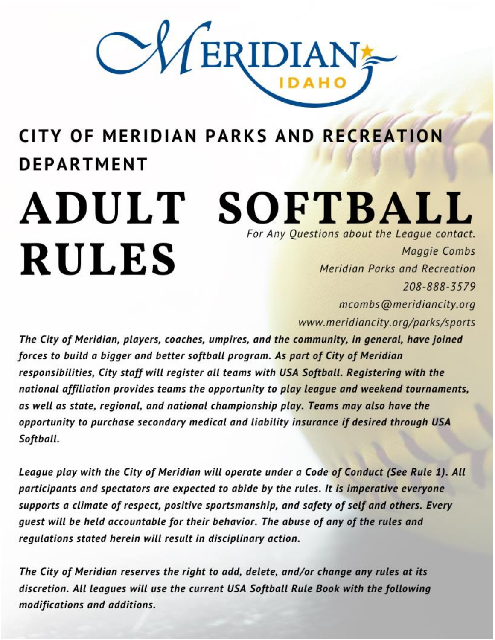

# **CITY OF MERIDIAN PARKS AND RECREATION DEPARTMENT**

# ADULT SOFTBALL For Any Questions about the League contact. **RULES** Maggie Combs Meridian Parks and Recreation 208-888-3579

mcombs@meridiancity.org www.meridiancity.org/parks/sports

The City of Meridian, players, coaches, umpires, and the community, in general, have joined forces to build a bigger and better softball program. As part of City of Meridian responsibilities, City staff will register all teams with USA Softball. Registering with the national affiliation provides teams the opportunity to play league and weekend tournaments, as well as state, regional, and national championship play. Teams may also have the opportunity to purchase secondary medical and liability insurance if desired through USA Softball.

League play with the City of Meridian will operate under a Code of Conduct (See Rule 1). All participants and spectators are expected to abide by the rules. It is imperative everyone supports a climate of respect, positive sportsmanship, and safety of self and others. Every guest will be held accountable for their behavior. The abuse of any of the rules and regulations stated herein will result in disciplinary action.

The City of Meridian reserves the right to add, delete, and/or change any rules at its discretion. All leagues will use the current USA Softball Rule Book with the following modifications and additions.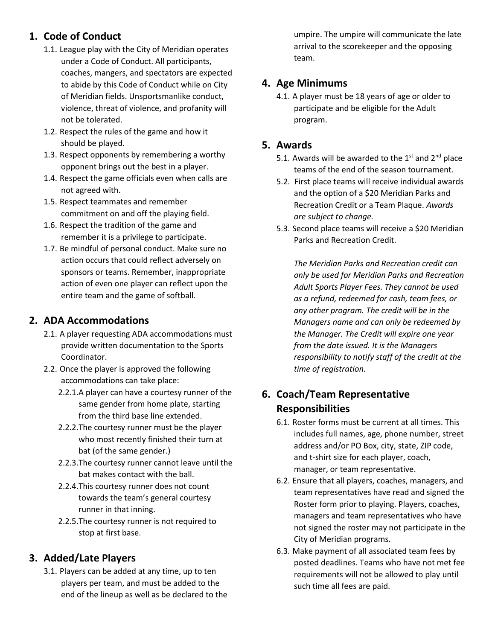# **1. Code of Conduct**

- 1.1. League play with the City of Meridian operates under a Code of Conduct. All participants, coaches, mangers, and spectators are expected to abide by this Code of Conduct while on City of Meridian fields. Unsportsmanlike conduct, violence, threat of violence, and profanity will not be tolerated.
- 1.2. Respect the rules of the game and how it should be played.
- 1.3. Respect opponents by remembering a worthy opponent brings out the best in a player.
- 1.4. Respect the game officials even when calls are not agreed with.
- 1.5. Respect teammates and remember commitment on and off the playing field.
- 1.6. Respect the tradition of the game and remember it is a privilege to participate.
- 1.7. Be mindful of personal conduct. Make sure no action occurs that could reflect adversely on sponsors or teams. Remember, inappropriate action of even one player can reflect upon the entire team and the game of softball.

#### **2. ADA Accommodations**

- 2.1. A player requesting ADA accommodations must provide written documentation to the Sports Coordinator.
- 2.2. Once the player is approved the following accommodations can take place:
	- 2.2.1.A player can have a courtesy runner of the same gender from home plate, starting from the third base line extended.
	- 2.2.2.The courtesy runner must be the player who most recently finished their turn at bat (of the same gender.)
	- 2.2.3.The courtesy runner cannot leave until the bat makes contact with the ball.
	- 2.2.4.This courtesy runner does not count towards the team's general courtesy runner in that inning.
	- 2.2.5.The courtesy runner is not required to stop at first base.

#### **3. Added/Late Players**

3.1. Players can be added at any time, up to ten players per team, and must be added to the end of the lineup as well as be declared to the umpire. The umpire will communicate the late arrival to the scorekeeper and the opposing team.

#### **4. Age Minimums**

4.1. A player must be 18 years of age or older to participate and be eligible for the Adult program.

#### **5. Awards**

- 5.1. Awards will be awarded to the  $1<sup>st</sup>$  and  $2<sup>nd</sup>$  place teams of the end of the season tournament.
- 5.2. First place teams will receive individual awards and the option of a \$20 Meridian Parks and Recreation Credit or a Team Plaque. *Awards are subject to change.*
- 5.3. Second place teams will receive a \$20 Meridian Parks and Recreation Credit.

*The Meridian Parks and Recreation credit can only be used for Meridian Parks and Recreation Adult Sports Player Fees. They cannot be used as a refund, redeemed for cash, team fees, or any other program. The credit will be in the Managers name and can only be redeemed by the Manager. The Credit will expire one year from the date issued. It is the Managers responsibility to notify staff of the credit at the time of registration.*

# **6. Coach/Team Representative Responsibilities**

- 6.1. Roster forms must be current at all times. This includes full names, age, phone number, street address and/or PO Box, city, state, ZIP code, and t-shirt size for each player, coach, manager, or team representative.
- 6.2. Ensure that all players, coaches, managers, and team representatives have read and signed the Roster form prior to playing. Players, coaches, managers and team representatives who have not signed the roster may not participate in the City of Meridian programs.
- 6.3. Make payment of all associated team fees by posted deadlines. Teams who have not met fee requirements will not be allowed to play until such time all fees are paid.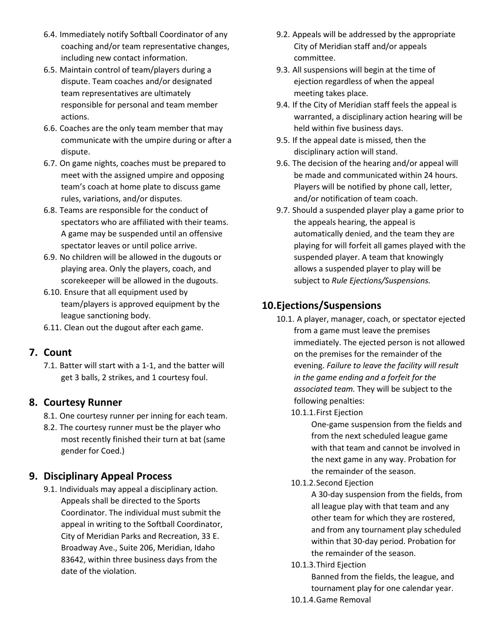- 6.4. Immediately notify Softball Coordinator of any coaching and/or team representative changes, including new contact information.
- 6.5. Maintain control of team/players during a dispute. Team coaches and/or designated team representatives are ultimately responsible for personal and team member actions.
- 6.6. Coaches are the only team member that may communicate with the umpire during or after a dispute.
- 6.7. On game nights, coaches must be prepared to meet with the assigned umpire and opposing team's coach at home plate to discuss game rules, variations, and/or disputes.
- 6.8. Teams are responsible for the conduct of spectators who are affiliated with their teams. A game may be suspended until an offensive spectator leaves or until police arrive.
- 6.9. No children will be allowed in the dugouts or playing area. Only the players, coach, and scorekeeper will be allowed in the dugouts.
- 6.10. Ensure that all equipment used by team/players is approved equipment by the league sanctioning body.
- 6.11. Clean out the dugout after each game.

#### **7. Count**

7.1. Batter will start with a 1-1, and the batter will get 3 balls, 2 strikes, and 1 courtesy foul.

#### **8. Courtesy Runner**

- 8.1. One courtesy runner per inning for each team.
- 8.2. The courtesy runner must be the player who most recently finished their turn at bat (same gender for Coed.)

#### **9. Disciplinary Appeal Process**

9.1. Individuals may appeal a disciplinary action. Appeals shall be directed to the Sports Coordinator. The individual must submit the appeal in writing to the Softball Coordinator, City of Meridian Parks and Recreation, 33 E. Broadway Ave., Suite 206, Meridian, Idaho 83642, within three business days from the date of the violation.

- 9.2. Appeals will be addressed by the appropriate City of Meridian staff and/or appeals committee.
- 9.3. All suspensions will begin at the time of ejection regardless of when the appeal meeting takes place.
- 9.4. If the City of Meridian staff feels the appeal is warranted, a disciplinary action hearing will be held within five business days.
- 9.5. If the appeal date is missed, then the disciplinary action will stand.
- 9.6. The decision of the hearing and/or appeal will be made and communicated within 24 hours. Players will be notified by phone call, letter, and/or notification of team coach.
- 9.7. Should a suspended player play a game prior to the appeals hearing, the appeal is automatically denied, and the team they are playing for will forfeit all games played with the suspended player. A team that knowingly allows a suspended player to play will be subject to *Rule Ejections/Suspensions.*

# **10.Ejections/Suspensions**

- 10.1. A player, manager, coach, or spectator ejected from a game must leave the premises immediately. The ejected person is not allowed on the premises for the remainder of the evening. *Failure to leave the facility will result in the game ending and a forfeit for the associated team.* They will be subject to the following penalties:
	- 10.1.1.First Ejection

One-game suspension from the fields and from the next scheduled league game with that team and cannot be involved in the next game in any way. Probation for the remainder of the season.

10.1.2.Second Ejection

A 30-day suspension from the fields, from all league play with that team and any other team for which they are rostered, and from any tournament play scheduled within that 30-day period. Probation for the remainder of the season.

10.1.3.Third Ejection

Banned from the fields, the league, and tournament play for one calendar year.

10.1.4.Game Removal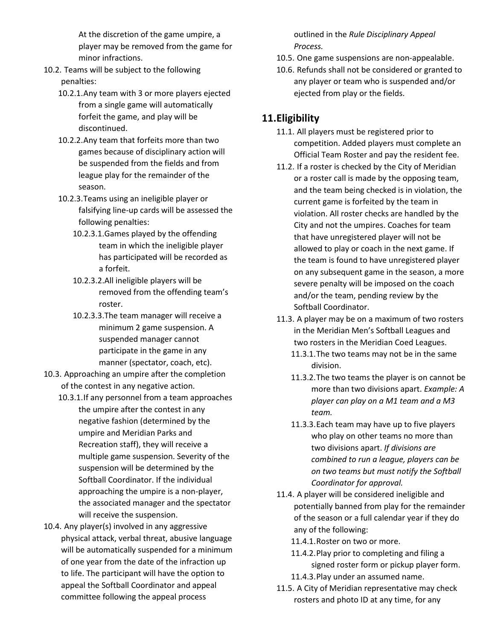At the discretion of the game umpire, a player may be removed from the game for minor infractions.

- 10.2. Teams will be subject to the following penalties:
	- 10.2.1.Any team with 3 or more players ejected from a single game will automatically forfeit the game, and play will be discontinued.
	- 10.2.2.Any team that forfeits more than two games because of disciplinary action will be suspended from the fields and from league play for the remainder of the season.
	- 10.2.3.Teams using an ineligible player or falsifying line-up cards will be assessed the following penalties:
		- 10.2.3.1.Games played by the offending team in which the ineligible player has participated will be recorded as a forfeit.
		- 10.2.3.2.All ineligible players will be removed from the offending team's roster.
		- 10.2.3.3.The team manager will receive a minimum 2 game suspension. A suspended manager cannot participate in the game in any manner (spectator, coach, etc).
- 10.3. Approaching an umpire after the completion of the contest in any negative action.
	- 10.3.1.If any personnel from a team approaches the umpire after the contest in any negative fashion (determined by the umpire and Meridian Parks and Recreation staff), they will receive a multiple game suspension. Severity of the suspension will be determined by the Softball Coordinator. If the individual approaching the umpire is a non-player, the associated manager and the spectator will receive the suspension.
- 10.4. Any player(s) involved in any aggressive physical attack, verbal threat, abusive language will be automatically suspended for a minimum of one year from the date of the infraction up to life. The participant will have the option to appeal the Softball Coordinator and appeal committee following the appeal process

outlined in the *Rule Disciplinary Appeal Process.*

- 10.5. One game suspensions are non-appealable.
- 10.6. Refunds shall not be considered or granted to any player or team who is suspended and/or ejected from play or the fields.

#### **11.Eligibility**

- 11.1. All players must be registered prior to competition. Added players must complete an Official Team Roster and pay the resident fee.
- 11.2. If a roster is checked by the City of Meridian or a roster call is made by the opposing team, and the team being checked is in violation, the current game is forfeited by the team in violation. All roster checks are handled by the City and not the umpires. Coaches for team that have unregistered player will not be allowed to play or coach in the next game. If the team is found to have unregistered player on any subsequent game in the season, a more severe penalty will be imposed on the coach and/or the team, pending review by the Softball Coordinator.
- 11.3. A player may be on a maximum of two rosters in the Meridian Men's Softball Leagues and two rosters in the Meridian Coed Leagues.
	- 11.3.1.The two teams may not be in the same division.
	- 11.3.2.The two teams the player is on cannot be more than two divisions apart. *Example: A player can play on a M1 team and a M3 team.*
	- 11.3.3.Each team may have up to five players who play on other teams no more than two divisions apart. *If divisions are combined to run a league, players can be on two teams but must notify the Softball Coordinator for approval.*
- 11.4. A player will be considered ineligible and potentially banned from play for the remainder of the season or a full calendar year if they do any of the following:
	- 11.4.1.Roster on two or more.
	- 11.4.2.Play prior to completing and filing a signed roster form or pickup player form.
	- 11.4.3.Play under an assumed name.
- 11.5. A City of Meridian representative may check rosters and photo ID at any time, for any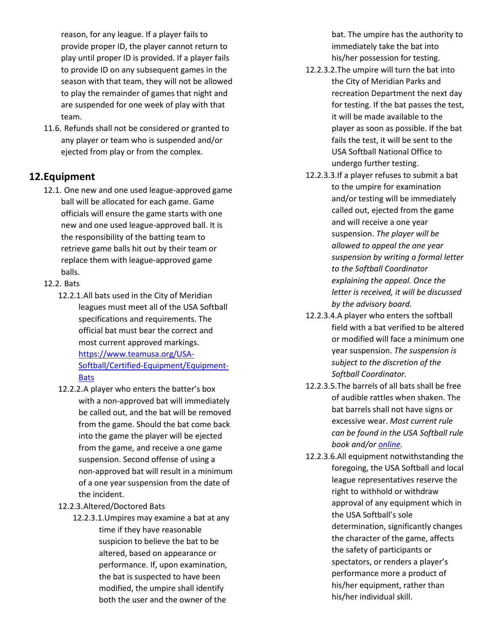reason, for any league. If a player fails to provide proper ID, the player cannot return to play until proper ID is provided. If a player fails to provide ID on any subsequent games in the season with that team, they will not be allowed to play the remainder of games that night and are suspended for one week of play with that team.

11.6. Refunds shall not be considered or granted to any player or team who is suspended and/or ejected from play or from the complex.

#### **12.Equipment**

- 12.1. One new and one used league-approved game ball will be allocated for each game. Game officials will ensure the game starts with one new and one used league-approved ball. It is the responsibility of the batting team to retrieve game balls hit out by their team or replace them with league-approved game balls.
- 12.2. Bats
	- 12.2.1.All bats used in the City of Meridian leagues must meet all of the USA Softball specifications and requirements. The official bat must bear the correct and most current approved markings. [https://www.teamusa.org/USA-](https://www.teamusa.org/USA-Softball/Certified-Equipment/Equipment-Bats)[Softball/Certified-Equipment/Equipment-](https://www.teamusa.org/USA-Softball/Certified-Equipment/Equipment-Bats)[Bats](https://www.teamusa.org/USA-Softball/Certified-Equipment/Equipment-Bats)
	- 12.2.2.A player who enters the batter's box with a non-approved bat will immediately be called out, and the bat will be removed from the game. Should the bat come back into the game the player will be ejected from the game, and receive a one game suspension. Second offense of using a non-approved bat will result in a minimum of a one year suspension from the date of the incident.
	- 12.2.3.Altered/Doctored Bats
		- 12.2.3.1.Umpires may examine a bat at any time if they have reasonable suspicion to believe the bat to be altered, based on appearance or performance. If, upon examination, the bat is suspected to have been modified, the umpire shall identify both the user and the owner of the

bat. The umpire has the authority to immediately take the bat into his/her possession for testing.

- 12.2.3.2.The umpire will turn the bat into the City of Meridian Parks and recreation Department the next day for testing. If the bat passes the test, it will be made available to the player as soon as possible. If the bat fails the test, it will be sent to the USA Softball National Office to undergo further testing.
- 12.2.3.3.If a player refuses to submit a bat to the umpire for examination and/or testing will be immediately called out, ejected from the game and will receive a one year suspension. *The player will be allowed to appeal the one year suspension by writing a formal letter to the Softball Coordinator explaining the appeal. Once the letter is received, it will be discussed by the advisory board.*
- 12.2.3.4.A player who enters the softball field with a bat verified to be altered or modified will face a minimum one year suspension. *The suspension is subject to the discretion of the Softball Coordinator.*
- 12.2.3.5.The barrels of all bats shall be free of audible rattles when shaken. The bat barrels shall not have signs or excessive wear. *Most current rule can be found in the USA Softball rule book and/or [online.](https://www.teamusa.org/USA-Softball/Certified-Equipment)*
- 12.2.3.6.All equipment notwithstanding the foregoing, the USA Softball and local league representatives reserve the right to withhold or withdraw approval of any equipment which in the USA Softball's sole determination, significantly changes the character of the game, affects the safety of participants or spectators, or renders a player's performance more a product of his/her equipment, rather than his/her individual skill.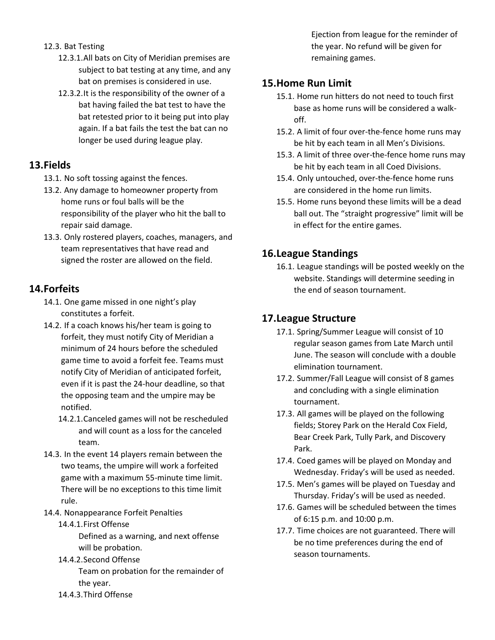- 12.3. Bat Testing
	- 12.3.1.All bats on City of Meridian premises are subject to bat testing at any time, and any bat on premises is considered in use.
	- 12.3.2.It is the responsibility of the owner of a bat having failed the bat test to have the bat retested prior to it being put into play again. If a bat fails the test the bat can no longer be used during league play.

#### **13.Fields**

- 13.1. No soft tossing against the fences.
- 13.2. Any damage to homeowner property from home runs or foul balls will be the responsibility of the player who hit the ball to repair said damage.
- 13.3. Only rostered players, coaches, managers, and team representatives that have read and signed the roster are allowed on the field.

# **14.Forfeits**

- 14.1. One game missed in one night's play constitutes a forfeit.
- 14.2. If a coach knows his/her team is going to forfeit, they must notify City of Meridian a minimum of 24 hours before the scheduled game time to avoid a forfeit fee. Teams must notify City of Meridian of anticipated forfeit, even if it is past the 24-hour deadline, so that the opposing team and the umpire may be notified.
	- 14.2.1.Canceled games will not be rescheduled and will count as a loss for the canceled team.
- 14.3. In the event 14 players remain between the two teams, the umpire will work a forfeited game with a maximum 55-minute time limit. There will be no exceptions to this time limit rule.
- 14.4. Nonappearance Forfeit Penalties
	- 14.4.1.First Offense

Defined as a warning, and next offense will be probation.

- 14.4.2.Second Offense Team on probation for the remainder of the year.
- 14.4.3.Third Offense

Ejection from league for the reminder of the year. No refund will be given for remaining games.

### **15.Home Run Limit**

- 15.1. Home run hitters do not need to touch first base as home runs will be considered a walkoff.
- 15.2. A limit of four over-the-fence home runs may be hit by each team in all Men's Divisions.
- 15.3. A limit of three over-the-fence home runs may be hit by each team in all Coed Divisions.
- 15.4. Only untouched, over-the-fence home runs are considered in the home run limits.
- 15.5. Home runs beyond these limits will be a dead ball out. The "straight progressive" limit will be in effect for the entire games.

# **16.League Standings**

16.1. League standings will be posted weekly on the website. Standings will determine seeding in the end of season tournament.

# **17.League Structure**

- 17.1. Spring/Summer League will consist of 10 regular season games from Late March until June. The season will conclude with a double elimination tournament.
- 17.2. Summer/Fall League will consist of 8 games and concluding with a single elimination tournament.
- 17.3. All games will be played on the following fields; Storey Park on the Herald Cox Field, Bear Creek Park, Tully Park, and Discovery Park.
- 17.4. Coed games will be played on Monday and Wednesday. Friday's will be used as needed.
- 17.5. Men's games will be played on Tuesday and Thursday. Friday's will be used as needed.
- 17.6. Games will be scheduled between the times of 6:15 p.m. and 10:00 p.m.
- 17.7. Time choices are not guaranteed. There will be no time preferences during the end of season tournaments.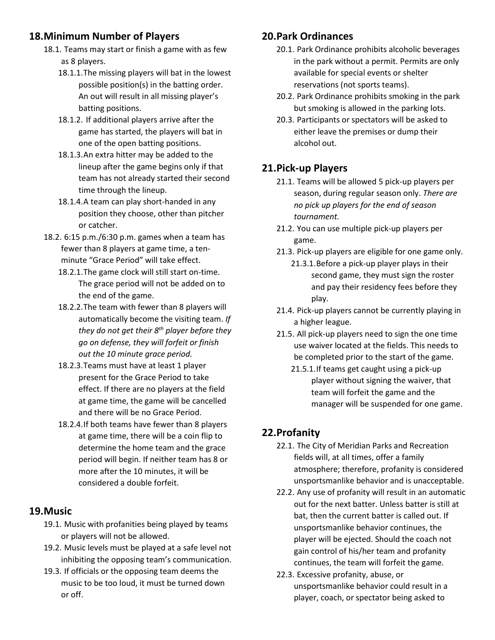# **18.Minimum Number of Players**

- 18.1. Teams may start or finish a game with as few as 8 players.
	- 18.1.1.The missing players will bat in the lowest possible position(s) in the batting order. An out will result in all missing player's batting positions.
	- 18.1.2. If additional players arrive after the game has started, the players will bat in one of the open batting positions.
	- 18.1.3.An extra hitter may be added to the lineup after the game begins only if that team has not already started their second time through the lineup.
	- 18.1.4.A team can play short-handed in any position they choose, other than pitcher or catcher.
- 18.2. 6:15 p.m./6:30 p.m. games when a team has fewer than 8 players at game time, a tenminute "Grace Period" will take effect.
	- 18.2.1.The game clock will still start on-time. The grace period will not be added on to the end of the game.
	- 18.2.2.The team with fewer than 8 players will automatically become the visiting team. *If they do not get their 8th player before they go on defense, they will forfeit or finish out the 10 minute grace period.*
	- 18.2.3.Teams must have at least 1 player present for the Grace Period to take effect. If there are no players at the field at game time, the game will be cancelled and there will be no Grace Period.
	- 18.2.4.If both teams have fewer than 8 players at game time, there will be a coin flip to determine the home team and the grace period will begin. If neither team has 8 or more after the 10 minutes, it will be considered a double forfeit.

#### **19.Music**

- 19.1. Music with profanities being played by teams or players will not be allowed.
- 19.2. Music levels must be played at a safe level not inhibiting the opposing team's communication.
- 19.3. If officials or the opposing team deems the music to be too loud, it must be turned down or off.

### **20.Park Ordinances**

- 20.1. Park Ordinance prohibits alcoholic beverages in the park without a permit. Permits are only available for special events or shelter reservations (not sports teams).
- 20.2. Park Ordinance prohibits smoking in the park but smoking is allowed in the parking lots.
- 20.3. Participants or spectators will be asked to either leave the premises or dump their alcohol out.

# **21.Pick-up Players**

- 21.1. Teams will be allowed 5 pick-up players per season, during regular season only. *There are no pick up players for the end of season tournament.*
- 21.2. You can use multiple pick-up players per game.
- 21.3. Pick-up players are eligible for one game only.
	- 21.3.1.Before a pick-up player plays in their second game, they must sign the roster and pay their residency fees before they play.
- 21.4. Pick-up players cannot be currently playing in a higher league.
- 21.5. All pick-up players need to sign the one time use waiver located at the fields. This needs to be completed prior to the start of the game.
	- 21.5.1.If teams get caught using a pick-up player without signing the waiver, that team will forfeit the game and the manager will be suspended for one game.

# **22.Profanity**

- 22.1. The City of Meridian Parks and Recreation fields will, at all times, offer a family atmosphere; therefore, profanity is considered unsportsmanlike behavior and is unacceptable.
- 22.2. Any use of profanity will result in an automatic out for the next batter. Unless batter is still at bat, then the current batter is called out. If unsportsmanlike behavior continues, the player will be ejected. Should the coach not gain control of his/her team and profanity continues, the team will forfeit the game.
- 22.3. Excessive profanity, abuse, or unsportsmanlike behavior could result in a player, coach, or spectator being asked to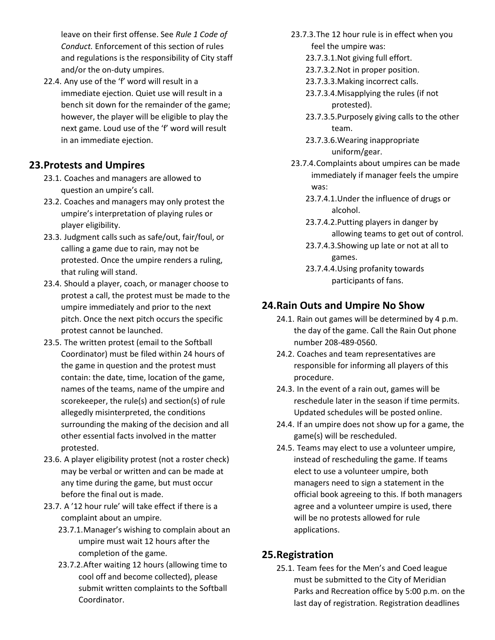leave on their first offense. See *Rule 1 Code of Conduct.* Enforcement of this section of rules and regulations is the responsibility of City staff and/or the on-duty umpires.

22.4. Any use of the 'f' word will result in a immediate ejection. Quiet use will result in a bench sit down for the remainder of the game; however, the player will be eligible to play the next game. Loud use of the 'f' word will result in an immediate ejection.

#### **23.Protests and Umpires**

- 23.1. Coaches and managers are allowed to question an umpire's call.
- 23.2. Coaches and managers may only protest the umpire's interpretation of playing rules or player eligibility.
- 23.3. Judgment calls such as safe/out, fair/foul, or calling a game due to rain, may not be protested. Once the umpire renders a ruling, that ruling will stand.
- 23.4. Should a player, coach, or manager choose to protest a call, the protest must be made to the umpire immediately and prior to the next pitch. Once the next pitch occurs the specific protest cannot be launched.
- 23.5. The written protest (email to the Softball Coordinator) must be filed within 24 hours of the game in question and the protest must contain: the date, time, location of the game, names of the teams, name of the umpire and scorekeeper, the rule(s) and section(s) of rule allegedly misinterpreted, the conditions surrounding the making of the decision and all other essential facts involved in the matter protested.
- 23.6. A player eligibility protest (not a roster check) may be verbal or written and can be made at any time during the game, but must occur before the final out is made.
- 23.7. A '12 hour rule' will take effect if there is a complaint about an umpire.
	- 23.7.1.Manager's wishing to complain about an umpire must wait 12 hours after the completion of the game.
	- 23.7.2.After waiting 12 hours (allowing time to cool off and become collected), please submit written complaints to the Softball Coordinator.
- 23.7.3.The 12 hour rule is in effect when you feel the umpire was:
	- 23.7.3.1.Not giving full effort.
	- 23.7.3.2.Not in proper position.
	- 23.7.3.3.Making incorrect calls.
	- 23.7.3.4.Misapplying the rules (if not protested).
	- 23.7.3.5.Purposely giving calls to the other team.
	- 23.7.3.6.Wearing inappropriate uniform/gear.
- 23.7.4.Complaints about umpires can be made immediately if manager feels the umpire was:
	- 23.7.4.1.Under the influence of drugs or alcohol.
	- 23.7.4.2.Putting players in danger by allowing teams to get out of control.
	- 23.7.4.3.Showing up late or not at all to games.
	- 23.7.4.4.Using profanity towards participants of fans.

# **24.Rain Outs and Umpire No Show**

- 24.1. Rain out games will be determined by 4 p.m. the day of the game. Call the Rain Out phone number 208-489-0560.
- 24.2. Coaches and team representatives are responsible for informing all players of this procedure.
- 24.3. In the event of a rain out, games will be reschedule later in the season if time permits. Updated schedules will be posted online.
- 24.4. If an umpire does not show up for a game, the game(s) will be rescheduled.
- 24.5. Teams may elect to use a volunteer umpire, instead of rescheduling the game. If teams elect to use a volunteer umpire, both managers need to sign a statement in the official book agreeing to this. If both managers agree and a volunteer umpire is used, there will be no protests allowed for rule applications.

#### **25.Registration**

25.1. Team fees for the Men's and Coed league must be submitted to the City of Meridian Parks and Recreation office by 5:00 p.m. on the last day of registration. Registration deadlines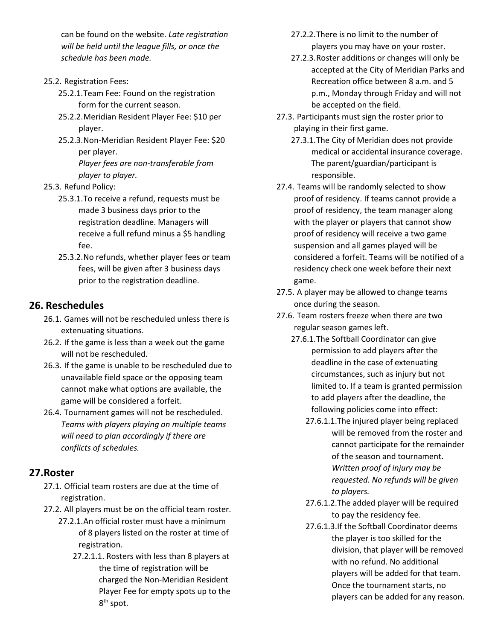can be found on the website. *Late registration will be held until the league fills, or once the schedule has been made.*

#### 25.2. Registration Fees:

- 25.2.1.Team Fee: Found on the registration form for the current season.
- 25.2.2.Meridian Resident Player Fee: \$10 per player.
- 25.2.3.Non-Meridian Resident Player Fee: \$20 per player.

*Player fees are non-transferable from player to player.*

- 25.3. Refund Policy:
	- 25.3.1.To receive a refund, requests must be made 3 business days prior to the registration deadline. Managers will receive a full refund minus a \$5 handling fee.
	- 25.3.2.No refunds, whether player fees or team fees, will be given after 3 business days prior to the registration deadline.

#### **26. Reschedules**

- 26.1. Games will not be rescheduled unless there is extenuating situations.
- 26.2. If the game is less than a week out the game will not be rescheduled.
- 26.3. If the game is unable to be rescheduled due to unavailable field space or the opposing team cannot make what options are available, the game will be considered a forfeit.
- 26.4. Tournament games will not be rescheduled. *Teams with players playing on multiple teams will need to plan accordingly if there are conflicts of schedules.*

#### **27.Roster**

- 27.1. Official team rosters are due at the time of registration.
- 27.2. All players must be on the official team roster.
	- 27.2.1.An official roster must have a minimum of 8 players listed on the roster at time of registration.
		- 27.2.1.1. Rosters with less than 8 players at the time of registration will be charged the Non-Meridian Resident Player Fee for empty spots up to the 8<sup>th</sup> spot.
- 27.2.2.There is no limit to the number of players you may have on your roster.
- 27.2.3.Roster additions or changes will only be accepted at the City of Meridian Parks and Recreation office between 8 a.m. and 5 p.m., Monday through Friday and will not be accepted on the field.
- 27.3. Participants must sign the roster prior to playing in their first game.
	- 27.3.1.The City of Meridian does not provide medical or accidental insurance coverage. The parent/guardian/participant is responsible.
- 27.4. Teams will be randomly selected to show proof of residency. If teams cannot provide a proof of residency, the team manager along with the player or players that cannot show proof of residency will receive a two game suspension and all games played will be considered a forfeit. Teams will be notified of a residency check one week before their next game.
- 27.5. A player may be allowed to change teams once during the season.
- 27.6. Team rosters freeze when there are two regular season games left.
	- 27.6.1.The Softball Coordinator can give permission to add players after the deadline in the case of extenuating circumstances, such as injury but not limited to. If a team is granted permission to add players after the deadline, the following policies come into effect:
		- 27.6.1.1.The injured player being replaced will be removed from the roster and cannot participate for the remainder of the season and tournament. *Written proof of injury may be requested. No refunds will be given to players.*
		- 27.6.1.2.The added player will be required to pay the residency fee.
		- 27.6.1.3.If the Softball Coordinator deems the player is too skilled for the division, that player will be removed with no refund. No additional players will be added for that team. Once the tournament starts, no players can be added for any reason.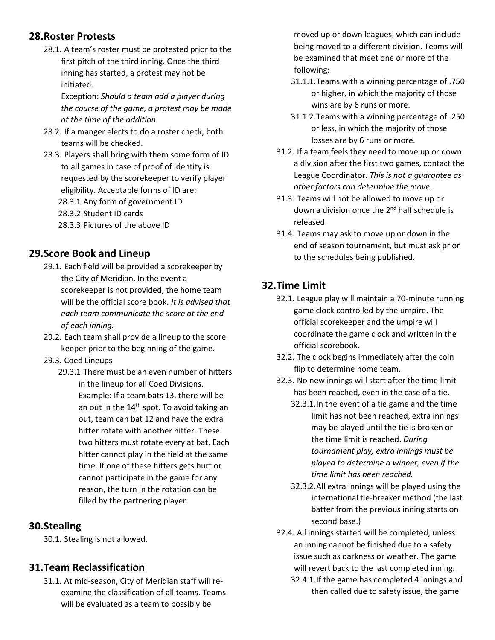#### **28.Roster Protests**

28.1. A team's roster must be protested prior to the first pitch of the third inning. Once the third inning has started, a protest may not be initiated.

Exception: *Should a team add a player during the course of the game, a protest may be made at the time of the addition.*

- 28.2. If a manger elects to do a roster check, both teams will be checked.
- 28.3. Players shall bring with them some form of ID to all games in case of proof of identity is requested by the scorekeeper to verify player eligibility. Acceptable forms of ID are:
	- 28.3.1.Any form of government ID
	- 28.3.2.Student ID cards
	- 28.3.3.Pictures of the above ID

#### **29.Score Book and Lineup**

- 29.1. Each field will be provided a scorekeeper by the City of Meridian. In the event a scorekeeper is not provided, the home team will be the official score book. *It is advised that each team communicate the score at the end of each inning.*
- 29.2. Each team shall provide a lineup to the score keeper prior to the beginning of the game.
- 29.3. Coed Lineups
	- 29.3.1.There must be an even number of hitters in the lineup for all Coed Divisions. Example: If a team bats 13, there will be an out in the 14<sup>th</sup> spot. To avoid taking an out, team can bat 12 and have the extra hitter rotate with another hitter. These two hitters must rotate every at bat. Each hitter cannot play in the field at the same time. If one of these hitters gets hurt or cannot participate in the game for any reason, the turn in the rotation can be filled by the partnering player.

#### **30.Stealing**

30.1. Stealing is not allowed.

#### **31.Team Reclassification**

31.1. At mid-season, City of Meridian staff will reexamine the classification of all teams. Teams will be evaluated as a team to possibly be

moved up or down leagues, which can include being moved to a different division. Teams will be examined that meet one or more of the following:

- 31.1.1.Teams with a winning percentage of .750 or higher, in which the majority of those wins are by 6 runs or more.
- 31.1.2.Teams with a winning percentage of .250 or less, in which the majority of those losses are by 6 runs or more.
- 31.2. If a team feels they need to move up or down a division after the first two games, contact the League Coordinator. *This is not a guarantee as other factors can determine the move.*
- 31.3. Teams will not be allowed to move up or down a division once the 2<sup>nd</sup> half schedule is released.
- 31.4. Teams may ask to move up or down in the end of season tournament, but must ask prior to the schedules being published.

#### **32.Time Limit**

- 32.1. League play will maintain a 70-minute running game clock controlled by the umpire. The official scorekeeper and the umpire will coordinate the game clock and written in the official scorebook.
- 32.2. The clock begins immediately after the coin flip to determine home team.
- 32.3. No new innings will start after the time limit has been reached, even in the case of a tie.
	- 32.3.1.In the event of a tie game and the time limit has not been reached, extra innings may be played until the tie is broken or the time limit is reached. *During tournament play, extra innings must be played to determine a winner, even if the time limit has been reached.*
	- 32.3.2.All extra innings will be played using the international tie-breaker method (the last batter from the previous inning starts on second base.)
- 32.4. All innings started will be completed, unless an inning cannot be finished due to a safety issue such as darkness or weather. The game will revert back to the last completed inning.
	- 32.4.1.If the game has completed 4 innings and then called due to safety issue, the game